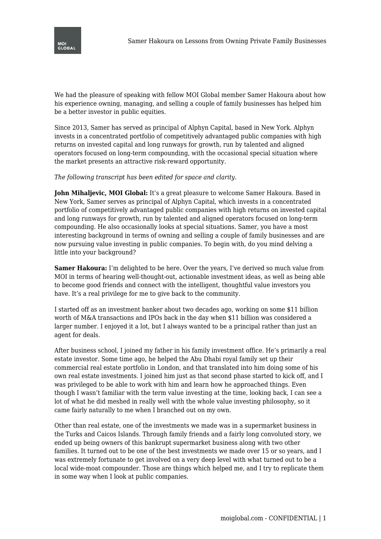

We had the pleasure of speaking with fellow MOI Global member Samer Hakoura about how his experience owning, managing, and selling a couple of family businesses has helped him be a better investor in public equities.

Since 2013, Samer has served as principal of Alphyn Capital, based in New York. Alphyn invests in a concentrated portfolio of competitively advantaged public companies with high returns on invested capital and long runways for growth, run by talented and aligned operators focused on long-term compounding, with the occasional special situation where the market presents an attractive risk-reward opportunity.

## *The following transcript has been edited for space and clarity.*

**John Mihaljevic, MOI Global:** It's a great pleasure to welcome Samer Hakoura. Based in New York, Samer serves as principal of Alphyn Capital, which invests in a concentrated portfolio of competitively advantaged public companies with high returns on invested capital and long runways for growth, run by talented and aligned operators focused on long-term compounding. He also occasionally looks at special situations. Samer, you have a most interesting background in terms of owning and selling a couple of family businesses and are now pursuing value investing in public companies. To begin with, do you mind delving a little into your background?

**Samer Hakoura:** I'm delighted to be here. Over the years, I've derived so much value from MOI in terms of hearing well-thought-out, actionable investment ideas, as well as being able to become good friends and connect with the intelligent, thoughtful value investors you have. It's a real privilege for me to give back to the community.

I started off as an investment banker about two decades ago, working on some \$11 billion worth of M&A transactions and IPOs back in the day when \$11 billion was considered a larger number. I enjoyed it a lot, but I always wanted to be a principal rather than just an agent for deals.

After business school, I joined my father in his family investment office. He's primarily a real estate investor. Some time ago, he helped the Abu Dhabi royal family set up their commercial real estate portfolio in London, and that translated into him doing some of his own real estate investments. I joined him just as that second phase started to kick off, and I was privileged to be able to work with him and learn how he approached things. Even though I wasn't familiar with the term value investing at the time, looking back, I can see a lot of what he did meshed in really well with the whole value investing philosophy, so it came fairly naturally to me when I branched out on my own.

Other than real estate, one of the investments we made was in a supermarket business in the Turks and Caicos Islands. Through family friends and a fairly long convoluted story, we ended up being owners of this bankrupt supermarket business along with two other families. It turned out to be one of the best investments we made over 15 or so years, and I was extremely fortunate to get involved on a very deep level with what turned out to be a local wide-moat compounder. Those are things which helped me, and I try to replicate them in some way when I look at public companies.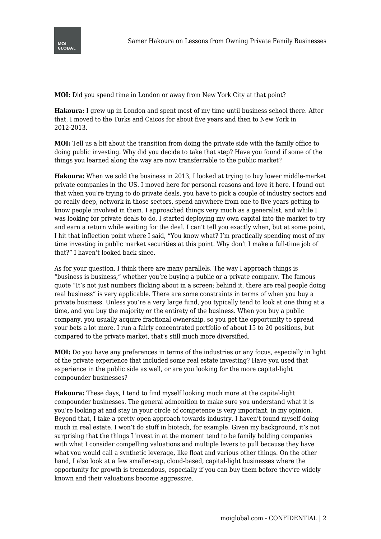

**MOI:** Did you spend time in London or away from New York City at that point?

**Hakoura:** I grew up in London and spent most of my time until business school there. After that, I moved to the Turks and Caicos for about five years and then to New York in 2012-2013.

**MOI:** Tell us a bit about the transition from doing the private side with the family office to doing public investing. Why did you decide to take that step? Have you found if some of the things you learned along the way are now transferrable to the public market?

**Hakoura:** When we sold the business in 2013, I looked at trying to buy lower middle-market private companies in the US. I moved here for personal reasons and love it here. I found out that when you're trying to do private deals, you have to pick a couple of industry sectors and go really deep, network in those sectors, spend anywhere from one to five years getting to know people involved in them. I approached things very much as a generalist, and while I was looking for private deals to do, I started deploying my own capital into the market to try and earn a return while waiting for the deal. I can't tell you exactly when, but at some point, I hit that inflection point where I said, "You know what? I'm practically spending most of my time investing in public market securities at this point. Why don't I make a full-time job of that?" I haven't looked back since.

As for your question, I think there are many parallels. The way I approach things is "business is business," whether you're buying a public or a private company. The famous quote "It's not just numbers flicking about in a screen; behind it, there are real people doing real business" is very applicable. There are some constraints in terms of when you buy a private business. Unless you're a very large fund, you typically tend to look at one thing at a time, and you buy the majority or the entirety of the business. When you buy a public company, you usually acquire fractional ownership, so you get the opportunity to spread your bets a lot more. I run a fairly concentrated portfolio of about 15 to 20 positions, but compared to the private market, that's still much more diversified.

**MOI:** Do you have any preferences in terms of the industries or any focus, especially in light of the private experience that included some real estate investing? Have you used that experience in the public side as well, or are you looking for the more capital-light compounder businesses?

**Hakoura:** These days, I tend to find myself looking much more at the capital-light compounder businesses. The general admonition to make sure you understand what it is you're looking at and stay in your circle of competence is very important, in my opinion. Beyond that, I take a pretty open approach towards industry. I haven't found myself doing much in real estate. I won't do stuff in biotech, for example. Given my background, it's not surprising that the things I invest in at the moment tend to be family holding companies with what I consider compelling valuations and multiple levers to pull because they have what you would call a synthetic leverage, like float and various other things. On the other hand, I also look at a few smaller-cap, cloud-based, capital-light businesses where the opportunity for growth is tremendous, especially if you can buy them before they're widely known and their valuations become aggressive.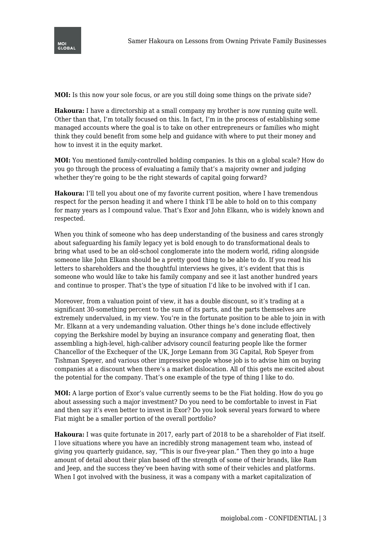

**MOI:** Is this now your sole focus, or are you still doing some things on the private side?

**Hakoura:** I have a directorship at a small company my brother is now running quite well. Other than that, I'm totally focused on this. In fact, I'm in the process of establishing some managed accounts where the goal is to take on other entrepreneurs or families who might think they could benefit from some help and guidance with where to put their money and how to invest it in the equity market.

**MOI:** You mentioned family-controlled holding companies. Is this on a global scale? How do you go through the process of evaluating a family that's a majority owner and judging whether they're going to be the right stewards of capital going forward?

**Hakoura:** I'll tell you about one of my favorite current position, where I have tremendous respect for the person heading it and where I think I'll be able to hold on to this company for many years as I compound value. That's Exor and John Elkann, who is widely known and respected.

When you think of someone who has deep understanding of the business and cares strongly about safeguarding his family legacy yet is bold enough to do transformational deals to bring what used to be an old-school conglomerate into the modern world, riding alongside someone like John Elkann should be a pretty good thing to be able to do. If you read his letters to shareholders and the thoughtful interviews he gives, it's evident that this is someone who would like to take his family company and see it last another hundred years and continue to prosper. That's the type of situation I'd like to be involved with if I can.

Moreover, from a valuation point of view, it has a double discount, so it's trading at a significant 30-something percent to the sum of its parts, and the parts themselves are extremely undervalued, in my view. You're in the fortunate position to be able to join in with Mr. Elkann at a very undemanding valuation. Other things he's done include effectively copying the Berkshire model by buying an insurance company and generating float, then assembling a high-level, high-caliber advisory council featuring people like the former Chancellor of the Exchequer of the UK, Jorge Lemann from 3G Capital, Rob Speyer from Tishman Speyer, and various other impressive people whose job is to advise him on buying companies at a discount when there's a market dislocation. All of this gets me excited about the potential for the company. That's one example of the type of thing I like to do.

**MOI:** A large portion of Exor's value currently seems to be the Fiat holding. How do you go about assessing such a major investment? Do you need to be comfortable to invest in Fiat and then say it's even better to invest in Exor? Do you look several years forward to where Fiat might be a smaller portion of the overall portfolio?

**Hakoura:** I was quite fortunate in 2017, early part of 2018 to be a shareholder of Fiat itself. I love situations where you have an incredibly strong management team who, instead of giving you quarterly guidance, say, "This is our five-year plan." Then they go into a huge amount of detail about their plan based off the strength of some of their brands, like Ram and Jeep, and the success they've been having with some of their vehicles and platforms. When I got involved with the business, it was a company with a market capitalization of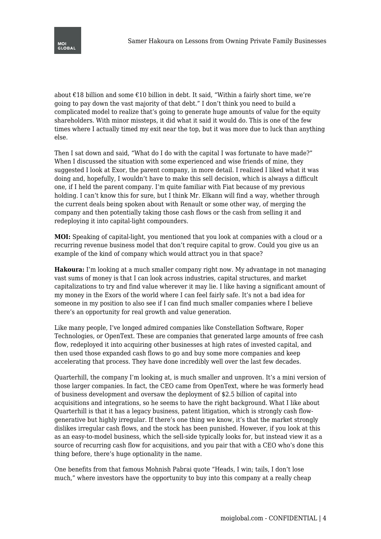

about €18 billion and some €10 billion in debt. It said, "Within a fairly short time, we're going to pay down the vast majority of that debt." I don't think you need to build a complicated model to realize that's going to generate huge amounts of value for the equity shareholders. With minor missteps, it did what it said it would do. This is one of the few times where I actually timed my exit near the top, but it was more due to luck than anything else.

Then I sat down and said, "What do I do with the capital I was fortunate to have made?" When I discussed the situation with some experienced and wise friends of mine, they suggested I look at Exor, the parent company, in more detail. I realized I liked what it was doing and, hopefully, I wouldn't have to make this sell decision, which is always a difficult one, if I held the parent company. I'm quite familiar with Fiat because of my previous holding. I can't know this for sure, but I think Mr. Elkann will find a way, whether through the current deals being spoken about with Renault or some other way, of merging the company and then potentially taking those cash flows or the cash from selling it and redeploying it into capital-light compounders.

**MOI:** Speaking of capital-light, you mentioned that you look at companies with a cloud or a recurring revenue business model that don't require capital to grow. Could you give us an example of the kind of company which would attract you in that space?

**Hakoura:** I'm looking at a much smaller company right now. My advantage in not managing vast sums of money is that I can look across industries, capital structures, and market capitalizations to try and find value wherever it may lie. I like having a significant amount of my money in the Exors of the world where I can feel fairly safe. It's not a bad idea for someone in my position to also see if I can find much smaller companies where I believe there's an opportunity for real growth and value generation.

Like many people, I've longed admired companies like Constellation Software, Roper Technologies, or OpenText. These are companies that generated large amounts of free cash flow, redeployed it into acquiring other businesses at high rates of invested capital, and then used those expanded cash flows to go and buy some more companies and keep accelerating that process. They have done incredibly well over the last few decades.

Quarterhill, the company I'm looking at, is much smaller and unproven. It's a mini version of those larger companies. In fact, the CEO came from OpenText, where he was formerly head of business development and oversaw the deployment of \$2.5 billion of capital into acquisitions and integrations, so he seems to have the right background. What I like about Quarterhill is that it has a legacy business, patent litigation, which is strongly cash flowgenerative but highly irregular. If there's one thing we know, it's that the market strongly dislikes irregular cash flows, and the stock has been punished. However, if you look at this as an easy-to-model business, which the sell-side typically looks for, but instead view it as a source of recurring cash flow for acquisitions, and you pair that with a CEO who's done this thing before, there's huge optionality in the name.

One benefits from that famous Mohnish Pabrai quote "Heads, I win; tails, I don't lose much," where investors have the opportunity to buy into this company at a really cheap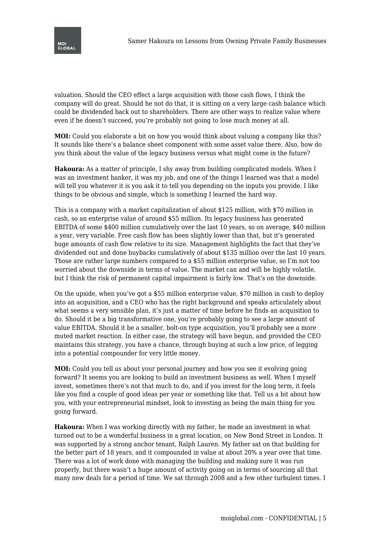

valuation. Should the CEO effect a large acquisition with those cash flows, I think the company will do great. Should he not do that, it is sitting on a very large cash balance which could be dividended back out to shareholders. There are other ways to realize value where even if he doesn't succeed, you're probably not going to lose much money at all.

**MOI:** Could you elaborate a bit on how you would think about valuing a company like this? It sounds like there's a balance sheet component with some asset value there. Also, how do you think about the value of the legacy business versus what might come in the future?

**Hakoura:** As a matter of principle, I shy away from building complicated models. When I was an investment banker, it was my job, and one of the things I learned was that a model will tell you whatever it is you ask it to tell you depending on the inputs you provide. I like things to be obvious and simple, which is something I learned the hard way.

This is a company with a market capitalization of about \$125 million, with \$70 million in cash, so an enterprise value of around \$55 million. Its legacy business has generated EBITDA of some \$400 million cumulatively over the last 10 years, so on average, \$40 million a year, very variable. Free cash flow has been slightly lower than that, but it's generated huge amounts of cash flow relative to its size. Management highlights the fact that they've dividended out and done buybacks cumulatively of about \$135 million over the last 10 years. Those are rather large numbers compared to a \$55 million enterprise value, so I'm not too worried about the downside in terms of value. The market can and will be highly volatile, but I think the risk of permanent capital impairment is fairly low. That's on the downside.

On the upside, when you've got a \$55 million enterprise value, \$70 million in cash to deploy into an acquisition, and a CEO who has the right background and speaks articulately about what seems a very sensible plan, it's just a matter of time before he finds an acquisition to do. Should it be a big transformative one, you're probably going to see a large amount of value EBITDA. Should it be a smaller, bolt-on type acquisition, you'll probably see a more muted market reaction. In either case, the strategy will have begun, and provided the CEO maintains this strategy, you have a chance, through buying at such a low price, of legging into a potential compounder for very little money.

**MOI:** Could you tell us about your personal journey and how you see it evolving going forward? It seems you are looking to build an investment business as well. When I myself invest, sometimes there's not that much to do, and if you invest for the long term, it feels like you find a couple of good ideas per year or something like that. Tell us a bit about how you, with your entrepreneurial mindset, look to investing as being the main thing for you going forward.

**Hakoura:** When I was working directly with my father, he made an investment in what turned out to be a wonderful business in a great location, on New Bond Street in London. It was supported by a strong anchor tenant, Ralph Lauren. My father sat on that building for the better part of 18 years, and it compounded in value at about 20% a year over that time. There was a lot of work done with managing the building and making sure it was run properly, but there wasn't a huge amount of activity going on in terms of sourcing all that many new deals for a period of time. We sat through 2008 and a few other turbulent times. I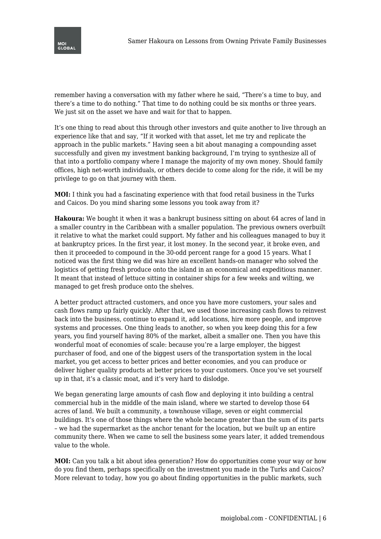

remember having a conversation with my father where he said, "There's a time to buy, and there's a time to do nothing." That time to do nothing could be six months or three years. We just sit on the asset we have and wait for that to happen.

It's one thing to read about this through other investors and quite another to live through an experience like that and say, "If it worked with that asset, let me try and replicate the approach in the public markets." Having seen a bit about managing a compounding asset successfully and given my investment banking background, I'm trying to synthesize all of that into a portfolio company where I manage the majority of my own money. Should family offices, high net-worth individuals, or others decide to come along for the ride, it will be my privilege to go on that journey with them.

**MOI:** I think you had a fascinating experience with that food retail business in the Turks and Caicos. Do you mind sharing some lessons you took away from it?

**Hakoura:** We bought it when it was a bankrupt business sitting on about 64 acres of land in a smaller country in the Caribbean with a smaller population. The previous owners overbuilt it relative to what the market could support. My father and his colleagues managed to buy it at bankruptcy prices. In the first year, it lost money. In the second year, it broke even, and then it proceeded to compound in the 30-odd percent range for a good 15 years. What I noticed was the first thing we did was hire an excellent hands-on manager who solved the logistics of getting fresh produce onto the island in an economical and expeditious manner. It meant that instead of lettuce sitting in container ships for a few weeks and wilting, we managed to get fresh produce onto the shelves.

A better product attracted customers, and once you have more customers, your sales and cash flows ramp up fairly quickly. After that, we used those increasing cash flows to reinvest back into the business, continue to expand it, add locations, hire more people, and improve systems and processes. One thing leads to another, so when you keep doing this for a few years, you find yourself having 80% of the market, albeit a smaller one. Then you have this wonderful moat of economies of scale: because you're a large employer, the biggest purchaser of food, and one of the biggest users of the transportation system in the local market, you get access to better prices and better economies, and you can produce or deliver higher quality products at better prices to your customers. Once you've set yourself up in that, it's a classic moat, and it's very hard to dislodge.

We began generating large amounts of cash flow and deploying it into building a central commercial hub in the middle of the main island, where we started to develop those 64 acres of land. We built a community, a townhouse village, seven or eight commercial buildings. It's one of those things where the whole became greater than the sum of its parts – we had the supermarket as the anchor tenant for the location, but we built up an entire community there. When we came to sell the business some years later, it added tremendous value to the whole.

**MOI:** Can you talk a bit about idea generation? How do opportunities come your way or how do you find them, perhaps specifically on the investment you made in the Turks and Caicos? More relevant to today, how you go about finding opportunities in the public markets, such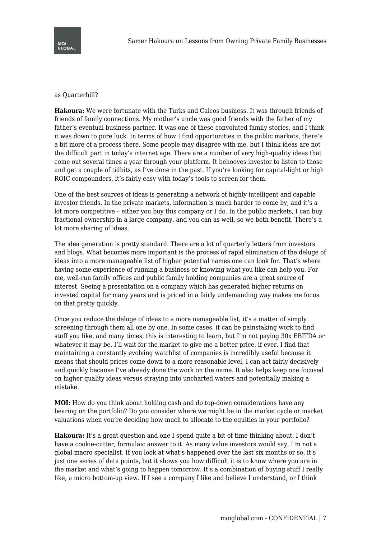## as Quarterhill?

**Hakoura:** We were fortunate with the Turks and Caicos business. It was through friends of friends of family connections. My mother's uncle was good friends with the father of my father's eventual business partner. It was one of these convoluted family stories, and I think it was down to pure luck. In terms of how I find opportunities in the public markets, there's a bit more of a process there. Some people may disagree with me, but I think ideas are not the difficult part in today's internet age. There are a number of very high-quality ideas that come out several times a year through your platform. It behooves investor to listen to those and get a couple of tidbits, as I've done in the past. If you're looking for capital-light or high ROIC compounders, it's fairly easy with today's tools to screen for them.

One of the best sources of ideas is generating a network of highly intelligent and capable investor friends. In the private markets, information is much harder to come by, and it's a lot more competitive – either you buy this company or I do. In the public markets, I can buy fractional ownership in a large company, and you can as well, so we both benefit. There's a lot more sharing of ideas.

The idea generation is pretty standard. There are a lot of quarterly letters from investors and blogs. What becomes more important is the process of rapid elimination of the deluge of ideas into a more manageable list of higher potential names one can look for. That's where having some experience of running a business or knowing what you like can help you. For me, well-run family offices and public family holding companies are a great source of interest. Seeing a presentation on a company which has generated higher returns on invested capital for many years and is priced in a fairly undemanding way makes me focus on that pretty quickly.

Once you reduce the deluge of ideas to a more manageable list, it's a matter of simply screening through them all one by one. In some cases, it can be painstaking work to find stuff you like, and many times, this is interesting to learn, but I'm not paying 30x EBITDA or whatever it may be. I'll wait for the market to give me a better price, if ever. I find that maintaining a constantly evolving watchlist of companies is incredibly useful because it means that should prices come down to a more reasonable level, I can act fairly decisively and quickly because I've already done the work on the name. It also helps keep one focused on higher quality ideas versus straying into uncharted waters and potentially making a mistake.

**MOI:** How do you think about holding cash and do top-down considerations have any bearing on the portfolio? Do you consider where we might be in the market cycle or market valuations when you're deciding how much to allocate to the equities in your portfolio?

**Hakoura:** It's a great question and one I spend quite a bit of time thinking about. I don't have a cookie-cutter, formulaic answer to it. As many value investors would say, I'm not a global macro specialist. If you look at what's happened over the last six months or so, it's just one series of data points, but it shows you how difficult it is to know where you are in the market and what's going to happen tomorrow. It's a combination of buying stuff I really like, a micro bottom-up view. If I see a company I like and believe I understand, or I think